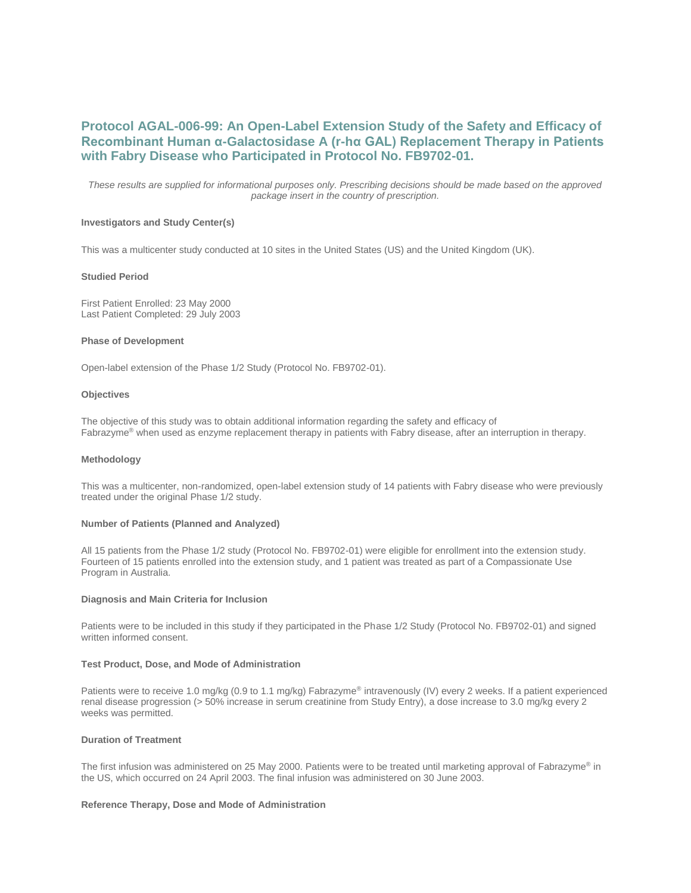# **Protocol AGAL-006-99: An Open-Label Extension Study of the Safety and Efficacy of Recombinant Human α-Galactosidase A (r-hα GAL) Replacement Therapy in Patients with Fabry Disease who Participated in Protocol No. FB9702-01.**

*These results are supplied for informational purposes only. Prescribing decisions should be made based on the approved package insert in the country of prescription.*

# **Investigators and Study Center(s)**

This was a multicenter study conducted at 10 sites in the United States (US) and the United Kingdom (UK).

### **Studied Period**

First Patient Enrolled: 23 May 2000 Last Patient Completed: 29 July 2003

### **Phase of Development**

Open-label extension of the Phase 1/2 Study (Protocol No. FB9702-01).

#### **Objectives**

The objective of this study was to obtain additional information regarding the safety and efficacy of Fabrazyme® when used as enzyme replacement therapy in patients with Fabry disease, after an interruption in therapy.

### **Methodology**

This was a multicenter, non-randomized, open-label extension study of 14 patients with Fabry disease who were previously treated under the original Phase 1/2 study.

## **Number of Patients (Planned and Analyzed)**

All 15 patients from the Phase 1/2 study (Protocol No. FB9702-01) were eligible for enrollment into the extension study. Fourteen of 15 patients enrolled into the extension study, and 1 patient was treated as part of a Compassionate Use Program in Australia.

#### **Diagnosis and Main Criteria for Inclusion**

Patients were to be included in this study if they participated in the Phase 1/2 Study (Protocol No. FB9702-01) and signed written informed consent.

## **Test Product, Dose, and Mode of Administration**

Patients were to receive 1.0 mg/kg (0.9 to 1.1 mg/kg) Fabrazyme® intravenously (IV) every 2 weeks. If a patient experienced renal disease progression (> 50% increase in serum creatinine from Study Entry), a dose increase to 3.0 mg/kg every 2 weeks was permitted.

# **Duration of Treatment**

The first infusion was administered on 25 May 2000. Patients were to be treated until marketing approval of Fabrazyme® in the US, which occurred on 24 April 2003. The final infusion was administered on 30 June 2003.

## **Reference Therapy, Dose and Mode of Administration**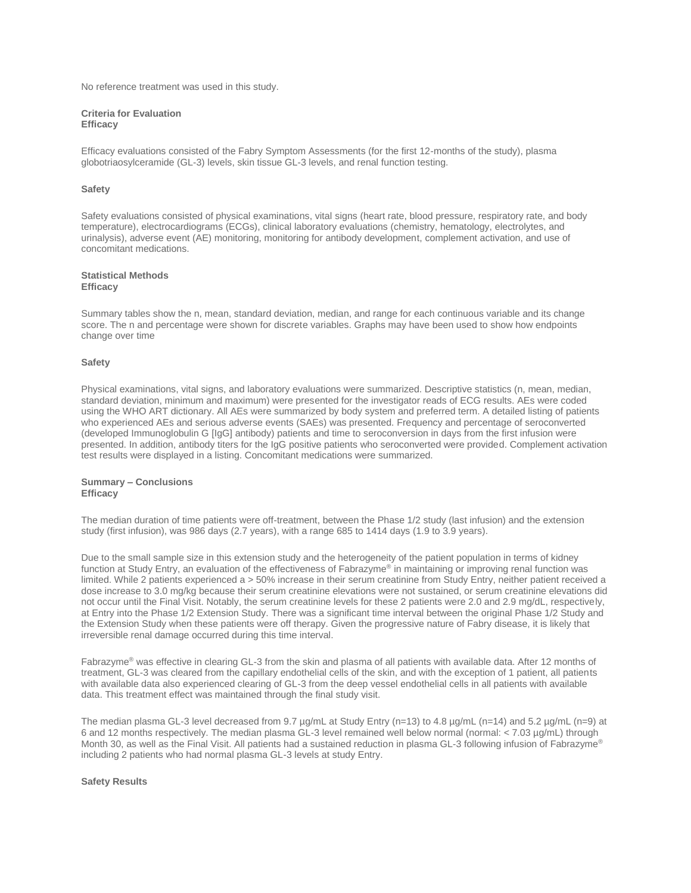No reference treatment was used in this study.

### **Criteria for Evaluation Efficacy**

Efficacy evaluations consisted of the Fabry Symptom Assessments (for the first 12-months of the study), plasma globotriaosylceramide (GL-3) levels, skin tissue GL-3 levels, and renal function testing.

### **Safety**

Safety evaluations consisted of physical examinations, vital signs (heart rate, blood pressure, respiratory rate, and body temperature), electrocardiograms (ECGs), clinical laboratory evaluations (chemistry, hematology, electrolytes, and urinalysis), adverse event (AE) monitoring, monitoring for antibody development, complement activation, and use of concomitant medications.

# **Statistical Methods Efficacy**

Summary tables show the n, mean, standard deviation, median, and range for each continuous variable and its change score. The n and percentage were shown for discrete variables. Graphs may have been used to show how endpoints change over time

### **Safety**

Physical examinations, vital signs, and laboratory evaluations were summarized. Descriptive statistics (n, mean, median, standard deviation, minimum and maximum) were presented for the investigator reads of ECG results. AEs were coded using the WHO ART dictionary. All AEs were summarized by body system and preferred term. A detailed listing of patients who experienced AEs and serious adverse events (SAEs) was presented. Frequency and percentage of seroconverted (developed Immunoglobulin G [IgG] antibody) patients and time to seroconversion in days from the first infusion were presented. In addition, antibody titers for the IgG positive patients who seroconverted were provided. Complement activation test results were displayed in a listing. Concomitant medications were summarized.

# **Summary – Conclusions Efficacy**

The median duration of time patients were off-treatment, between the Phase 1/2 study (last infusion) and the extension study (first infusion), was 986 days (2.7 years), with a range 685 to 1414 days (1.9 to 3.9 years).

Due to the small sample size in this extension study and the heterogeneity of the patient population in terms of kidney function at Study Entry, an evaluation of the effectiveness of Fabrazyme® in maintaining or improving renal function was limited. While 2 patients experienced a > 50% increase in their serum creatinine from Study Entry, neither patient received a dose increase to 3.0 mg/kg because their serum creatinine elevations were not sustained, or serum creatinine elevations did not occur until the Final Visit. Notably, the serum creatinine levels for these 2 patients were 2.0 and 2.9 mg/dL, respectively, at Entry into the Phase 1/2 Extension Study. There was a significant time interval between the original Phase 1/2 Study and the Extension Study when these patients were off therapy. Given the progressive nature of Fabry disease, it is likely that irreversible renal damage occurred during this time interval.

Fabrazyme® was effective in clearing GL-3 from the skin and plasma of all patients with available data. After 12 months of treatment, GL-3 was cleared from the capillary endothelial cells of the skin, and with the exception of 1 patient, all patients with available data also experienced clearing of GL-3 from the deep vessel endothelial cells in all patients with available data. This treatment effect was maintained through the final study visit.

The median plasma GL-3 level decreased from 9.7 µg/mL at Study Entry (n=13) to 4.8 µg/mL (n=14) and 5.2 µg/mL (n=9) at 6 and 12 months respectively. The median plasma GL-3 level remained well below normal (normal: < 7.03 µg/mL) through Month 30, as well as the Final Visit. All patients had a sustained reduction in plasma GL-3 following infusion of Fabrazyme® including 2 patients who had normal plasma GL-3 levels at study Entry.

### **Safety Results**